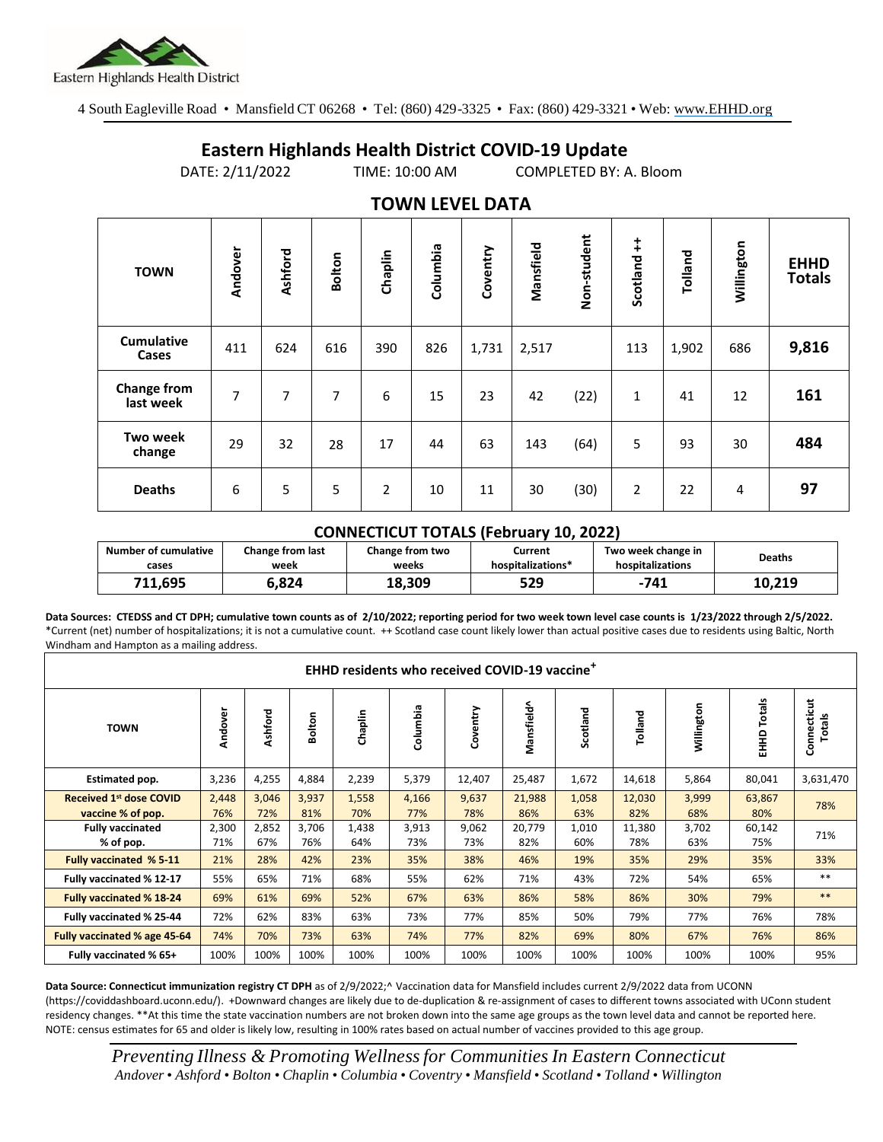

4 South Eagleville Road • Mansfield CT 06268 • Tel: (860) 429-3325 • Fax: (860) 429-3321 • Web: www.EHHD.org

## **Eastern Highlands Health District COVID-19 Update**

DATE: 2/11/2022 TIME: 10:00 AM COMPLETED BY: A. Bloom

| I V VYI Y LL V LL <i>V</i> ai A |                |         |        |                |          |          |           |             |                |         |            |                              |
|---------------------------------|----------------|---------|--------|----------------|----------|----------|-----------|-------------|----------------|---------|------------|------------------------------|
| <b>TOWN</b>                     | Andover        | Ashford | Bolton | Chaplin        | Columbia | Coventry | Mansfield | Non-student | Scotland ++    | Tolland | Willington | <b>EHHD</b><br><b>Totals</b> |
| <b>Cumulative</b><br>Cases      | 411            | 624     | 616    | 390            | 826      | 1,731    | 2,517     |             | 113            | 1,902   | 686        | 9,816                        |
| Change from<br>last week        | $\overline{7}$ | 7       | 7      | 6              | 15       | 23       | 42        | (22)        | $\mathbf{1}$   | 41      | 12         | 161                          |
| <b>Two week</b><br>change       | 29             | 32      | 28     | 17             | 44       | 63       | 143       | (64)        | 5              | 93      | 30         | 484                          |
| <b>Deaths</b>                   | 6              | 5       | 5      | $\overline{2}$ | 10       | 11       | 30        | (30)        | $\overline{2}$ | 22      | 4          | 97                           |

## **TOWN LEVEL DATA**

## **CONNECTICUT TOTALS (February 10, 2022)**

| <b>Number of cumulative</b> | <b>Change from last</b> | Change from two | Current           | Two week change in | <b>Deaths</b> |
|-----------------------------|-------------------------|-----------------|-------------------|--------------------|---------------|
| cases                       | week                    | weeks           | hospitalizations* | hospitalizations   |               |
| 711.695                     | 824.د                   | 18,309          | 529               | -741               | 10,219        |

**Data Sources: CTEDSS and CT DPH; cumulative town counts as of 2/10/2022; reporting period for two week town level case counts is 1/23/2022 through 2/5/2022.** \*Current (net) number of hospitalizations; it is not a cumulative count. ++ Scotland case count likely lower than actual positive cases due to residents using Baltic, North Windham and Hampton as a mailing address.

| <b>EHHD residents who received COVID-19 vaccine<sup>+</sup></b> |              |              |              |              |              |              |               |              |               |              |                  |                       |
|-----------------------------------------------------------------|--------------|--------------|--------------|--------------|--------------|--------------|---------------|--------------|---------------|--------------|------------------|-----------------------|
| <b>TOWN</b>                                                     | Andover      | Ashford      | Bolton       | Chaplin      | Columbia     | Coventry     | Mansfield^    | Scotland     | Tolland       | Willington   | Totals<br>요<br>표 | Connecticut<br>Totals |
| Estimated pop.                                                  | 3,236        | 4,255        | 4,884        | 2,239        | 5,379        | 12,407       | 25,487        | 1,672        | 14,618        | 5,864        | 80,041           | 3,631,470             |
| <b>Received 1st dose COVID</b><br>vaccine % of pop.             | 2,448<br>76% | 3,046<br>72% | 3,937<br>81% | 1,558<br>70% | 4,166<br>77% | 9,637<br>78% | 21,988<br>86% | 1,058<br>63% | 12,030<br>82% | 3,999<br>68% | 63,867<br>80%    | 78%                   |
| <b>Fully vaccinated</b><br>% of pop.                            | 2,300<br>71% | 2,852<br>67% | 3,706<br>76% | 1,438<br>64% | 3,913<br>73% | 9,062<br>73% | 20,779<br>82% | 1,010<br>60% | 11,380<br>78% | 3,702<br>63% | 60,142<br>75%    | 71%                   |
| <b>Fully vaccinated % 5-11</b>                                  | 21%          | 28%          | 42%          | 23%          | 35%          | 38%          | 46%           | 19%          | 35%           | 29%          | 35%              | 33%                   |
| Fully vaccinated % 12-17                                        | 55%          | 65%          | 71%          | 68%          | 55%          | 62%          | 71%           | 43%          | 72%           | 54%          | 65%              | $***$                 |
| <b>Fully vaccinated % 18-24</b>                                 | 69%          | 61%          | 69%          | 52%          | 67%          | 63%          | 86%           | 58%          | 86%           | 30%          | 79%              | $***$                 |
| Fully vaccinated % 25-44                                        | 72%          | 62%          | 83%          | 63%          | 73%          | 77%          | 85%           | 50%          | 79%           | 77%          | 76%              | 78%                   |
| Fully vaccinated % age 45-64                                    | 74%          | 70%          | 73%          | 63%          | 74%          | 77%          | 82%           | 69%          | 80%           | 67%          | 76%              | 86%                   |
| Fully vaccinated % 65+                                          | 100%         | 100%         | 100%         | 100%         | 100%         | 100%         | 100%          | 100%         | 100%          | 100%         | 100%             | 95%                   |

**Data Source: Connecticut immunization registry CT DPH** as of 2/9/2022;^ Vaccination data for Mansfield includes current 2/9/2022 data from UCONN (https://coviddashboard.uconn.edu/). +Downward changes are likely due to de-duplication & re-assignment of cases to different towns associated with UConn student residency changes. \*\*At this time the state vaccination numbers are not broken down into the same age groups as the town level data and cannot be reported here. NOTE: census estimates for 65 and older is likely low, resulting in 100% rates based on actual number of vaccines provided to this age group.

*Preventing Illness & Promoting Wellnessfor Communities In Eastern Connecticut* Andover • Ashford • Bolton • Chaplin • Columbia • Coventry • Mansfield • Scotland • Tolland • Willington